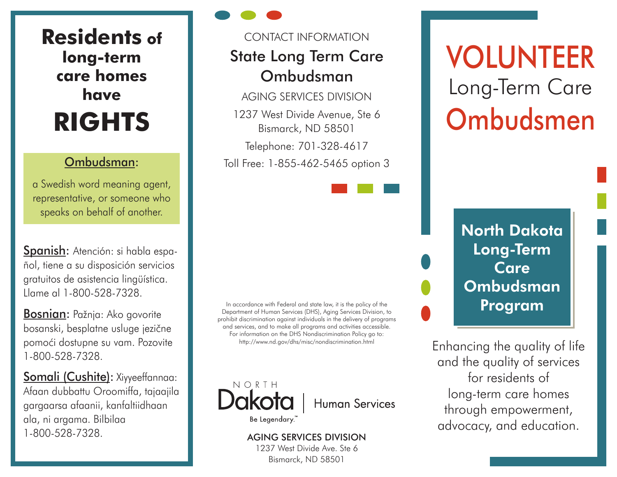**Residents of long-term care homes have RIGHTS**

a Swedish word meaning agent, representative, or someone who speaks on behalf of another.

Spanish: Atención: si habla español, tiene a su disposición servicios gratuitos de asistencia lingüística. Llame al 1-800-528-7328.

**Bosnian:** Pažnja: Ako govorite bosanski, besplatne usluge jezične pomoći dostupne su vam. Pozovite 1-800-528-7328.

Somali (Cushite): Xiyyeeffannaa: Afaan dubbattu Oroomiffa, tajaajila gargaarsa afaanii, kanfaltiidhaan ala, ni argama. Bilbilaa 1-800-528-7328.

## CONTACT INFORMATION

## State Long Term Care Ombudsman

AGING SERVICES DIVISION 1237 West Divide Avenue, Ste 6

Bismarck, ND 58501

Telephone: 701-328-4617

Ombudsman: Toll Free: 1-855-462-5465 option 3

In accordance with Federal and state law, it is the policy of the Department of Human Services (DHS), Aging Services Division, to prohibit discrimination against individuals in the delivery of programs and services, and to make all programs and activities accessible. For information on the DHS Nondiscrimination Policy go to: http://www.nd.gov/dhs/misc/nondiscrimination.html



**Human Services** 

Be Legendary."

### AGING SERVICES DIVISION

1237 West Divide Ave. Ste 6 Bismarck, ND 58501

# VOLUNTEER Long-Term Care Ombudsmen

North Dakota Long-Term Care **Ombudsman** Program

Enhancing the quality of life and the quality of services for residents of long-term care homes through empowerment, advocacy, and education.